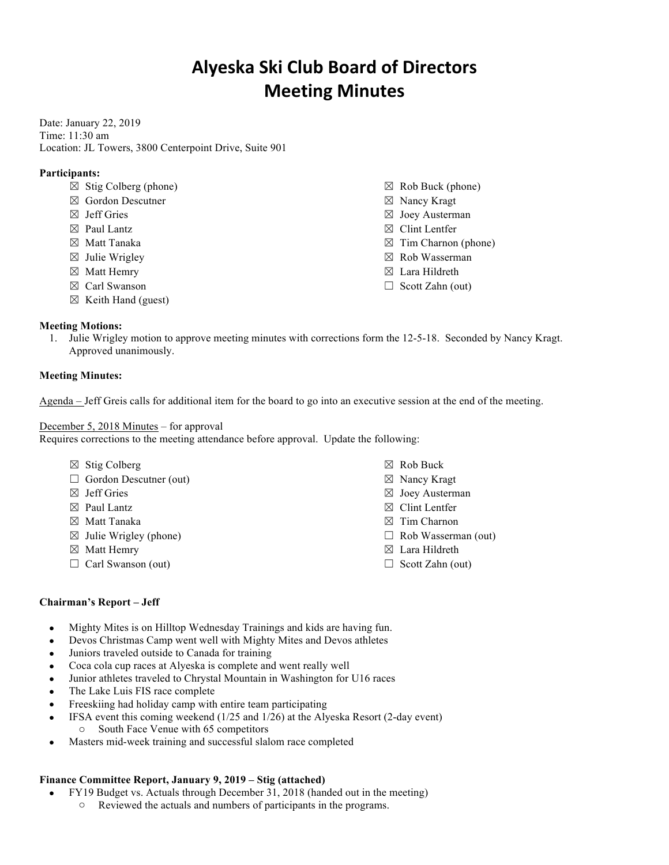# **Alyeska Ski Club Board of Directors Meeting Minutes**

Date: January 22, 2019 Time: 11:30 am Location: JL Towers, 3800 Centerpoint Drive, Suite 901

## **Participants:**

- $\boxtimes$  Stig Colberg (phone)
- ☒ Gordon Descutner
- ☒ Jeff Gries
- ☒ Paul Lantz
- ☒ Matt Tanaka
- $\boxtimes$  Julie Wrigley
- ☒ Matt Hemry
- ☒ Carl Swanson
- $\boxtimes$  Keith Hand (guest)

## **Meeting Motions:**

1. Julie Wrigley motion to approve meeting minutes with corrections form the 12-5-18. Seconded by Nancy Kragt. Approved unanimously.

## **Meeting Minutes:**

Agenda – Jeff Greis calls for additional item for the board to go into an executive session at the end of the meeting.

## December 5, 2018 Minutes – for approval

Requires corrections to the meeting attendance before approval. Update the following:

- $\boxtimes$  Stig Colberg
- $\Box$  Gordon Descutner (out)
- ☒ Jeff Gries
- $\boxtimes$  Paul Lantz
- ☒ Matt Tanaka
- $\boxtimes$  Julie Wrigley (phone)
- ☒ Matt Hemry
- □ Carl Swanson (out)
- ☒ Rob Buck
- ☒ Nancy Kragt
- ☒ Joey Austerman
- ☒ Clint Lentfer
- ☒ Tim Charnon
- ☐ Rob Wasserman (out)
- ☒ Lara Hildreth
- $\Box$  Scott Zahn (out)

#### **Chairman's Report – Jeff**

- Mighty Mites is on Hilltop Wednesday Trainings and kids are having fun.
- Devos Christmas Camp went well with Mighty Mites and Devos athletes
- Juniors traveled outside to Canada for training
- Coca cola cup races at Alyeska is complete and went really well
- Junior athletes traveled to Chrystal Mountain in Washington for U16 races
- The Lake Luis FIS race complete
- Freeskiing had holiday camp with entire team participating
- IFSA event this coming weekend (1/25 and 1/26) at the Alyeska Resort (2-day event)
	- o South Face Venue with 65 competitors
- Masters mid-week training and successful slalom race completed

# **Finance Committee Report, January 9, 2019 – Stig (attached)**

- FY19 Budget vs. Actuals through December 31, 2018 (handed out in the meeting)
	- o Reviewed the actuals and numbers of participants in the programs.
- $\boxtimes$  Rob Buck (phone) ☒ Nancy Kragt
- ☒ Joey Austerman
- ☒ Clint Lentfer
- $\boxtimes$  Tim Charnon (phone)
- ☒ Rob Wasserman
- ☒ Lara Hildreth
- $\Box$  Scott Zahn (out)